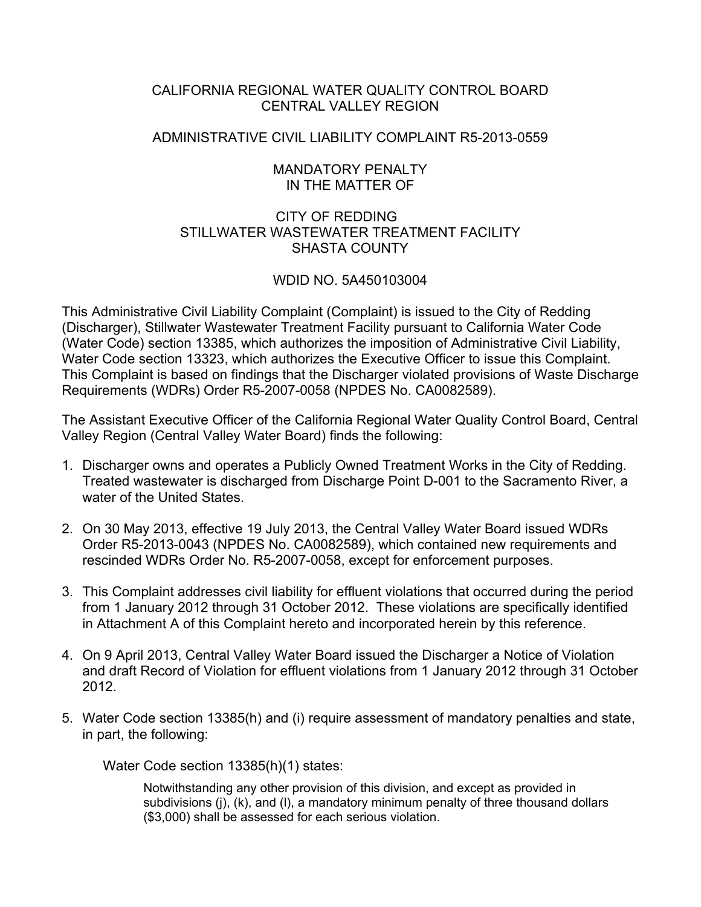## CALIFORNIA REGIONAL WATER QUALITY CONTROL BOARD CENTRAL VALLEY REGION

## ADMINISTRATIVE CIVIL LIABILITY COMPLAINT R5-2013-0559

## MANDATORY PENALTY IN THE MATTER OF

## CITY OF REDDING STILLWATER WASTEWATER TREATMENT FACILITY SHASTA COUNTY

# WDID NO. 5A450103004

This Administrative Civil Liability Complaint (Complaint) is issued to the City of Redding (Discharger), Stillwater Wastewater Treatment Facility pursuant to California Water Code (Water Code) section 13385, which authorizes the imposition of Administrative Civil Liability, Water Code section 13323, which authorizes the Executive Officer to issue this Complaint. This Complaint is based on findings that the Discharger violated provisions of Waste Discharge Requirements (WDRs) Order R5-2007-0058 (NPDES No. CA0082589).

The Assistant Executive Officer of the California Regional Water Quality Control Board, Central Valley Region (Central Valley Water Board) finds the following:

- 1. Discharger owns and operates a Publicly Owned Treatment Works in the City of Redding. Treated wastewater is discharged from Discharge Point D-001 to the Sacramento River, a water of the United States.
- 2. On 30 May 2013, effective 19 July 2013, the Central Valley Water Board issued WDRs Order R5-2013-0043 (NPDES No. CA0082589), which contained new requirements and rescinded WDRs Order No. R5-2007-0058, except for enforcement purposes.
- 3. This Complaint addresses civil liability for effluent violations that occurred during the period from 1 January 2012 through 31 October 2012. These violations are specifically identified in Attachment A of this Complaint hereto and incorporated herein by this reference.
- 4. On 9 April 2013, Central Valley Water Board issued the Discharger a Notice of Violation and draft Record of Violation for effluent violations from 1 January 2012 through 31 October 2012.
- 5. Water Code section 13385(h) and (i) require assessment of mandatory penalties and state, in part, the following:

Water Code section 13385(h)(1) states:

Notwithstanding any other provision of this division, and except as provided in subdivisions (j), (k), and (l), a mandatory minimum penalty of three thousand dollars (\$3,000) shall be assessed for each serious violation.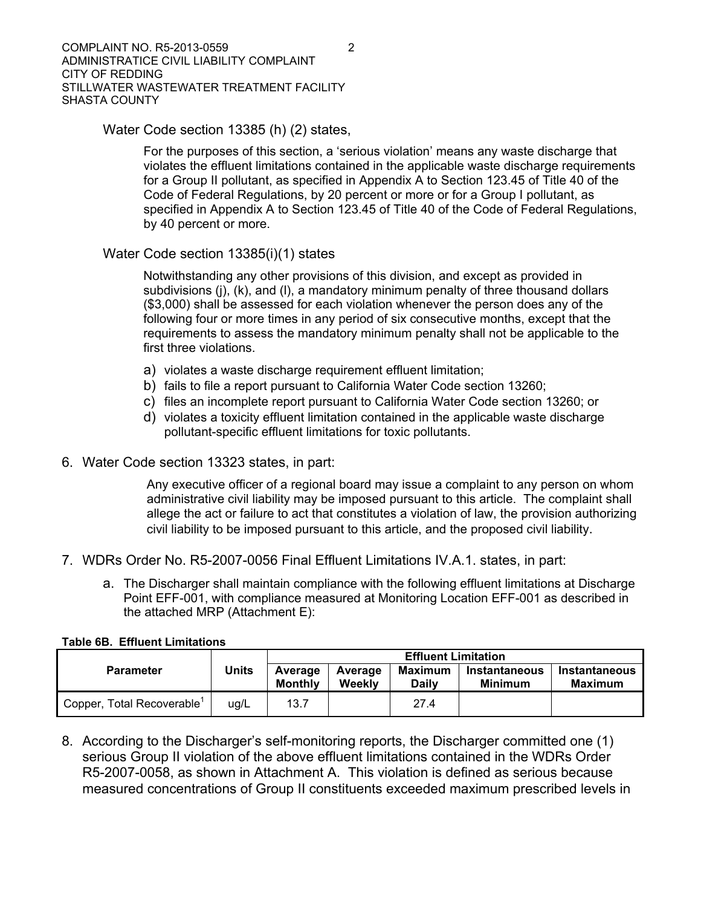Water Code section 13385 (h) (2) states,

For the purposes of this section, a 'serious violation' means any waste discharge that violates the effluent limitations contained in the applicable waste discharge requirements for a Group II pollutant, as specified in Appendix A to Section 123.45 of Title 40 of the Code of Federal Regulations, by 20 percent or more or for a Group I pollutant, as specified in Appendix A to Section 123.45 of Title 40 of the Code of Federal Regulations, by 40 percent or more.

## Water Code section 13385(i)(1) states

Notwithstanding any other provisions of this division, and except as provided in subdivisions (j), (k), and (l), a mandatory minimum penalty of three thousand dollars (\$3,000) shall be assessed for each violation whenever the person does any of the following four or more times in any period of six consecutive months, except that the requirements to assess the mandatory minimum penalty shall not be applicable to the first three violations.

- a) violates a waste discharge requirement effluent limitation;
- b) fails to file a report pursuant to California Water Code section 13260;
- c) files an incomplete report pursuant to California Water Code section 13260; or
- d) violates a toxicity effluent limitation contained in the applicable waste discharge pollutant-specific effluent limitations for toxic pollutants.
- 6. Water Code section 13323 states, in part:

Any executive officer of a regional board may issue a complaint to any person on whom administrative civil liability may be imposed pursuant to this article. The complaint shall allege the act or failure to act that constitutes a violation of law, the provision authorizing civil liability to be imposed pursuant to this article, and the proposed civil liability.

- 7. WDRs Order No. R5-2007-0056 Final Effluent Limitations IV.A.1. states, in part:
	- a. The Discharger shall maintain compliance with the following effluent limitations at Discharge Point EFF-001, with compliance measured at Monitoring Location EFF-001 as described in the attached MRP (Attachment E):

|                                        | <b>Units</b> | <b>Effluent Limitation</b> |                   |                         |                                        |                                 |  |
|----------------------------------------|--------------|----------------------------|-------------------|-------------------------|----------------------------------------|---------------------------------|--|
| <b>Parameter</b>                       |              | Average<br><b>Monthly</b>  | Average<br>Weekly | Maximum<br><b>Daily</b> | <b>Instantaneous</b><br><b>Minimum</b> | <b>Instantaneous</b><br>Maximum |  |
| Copper, Total Recoverable <sup>1</sup> | ug/L         | 13.7                       |                   | 27.4                    |                                        |                                 |  |

#### **Table 6B. Effluent Limitations**

8. According to the Discharger's self-monitoring reports, the Discharger committed one (1) serious Group II violation of the above effluent limitations contained in the WDRs Order R5-2007-0058, as shown in Attachment A. This violation is defined as serious because measured concentrations of Group II constituents exceeded maximum prescribed levels in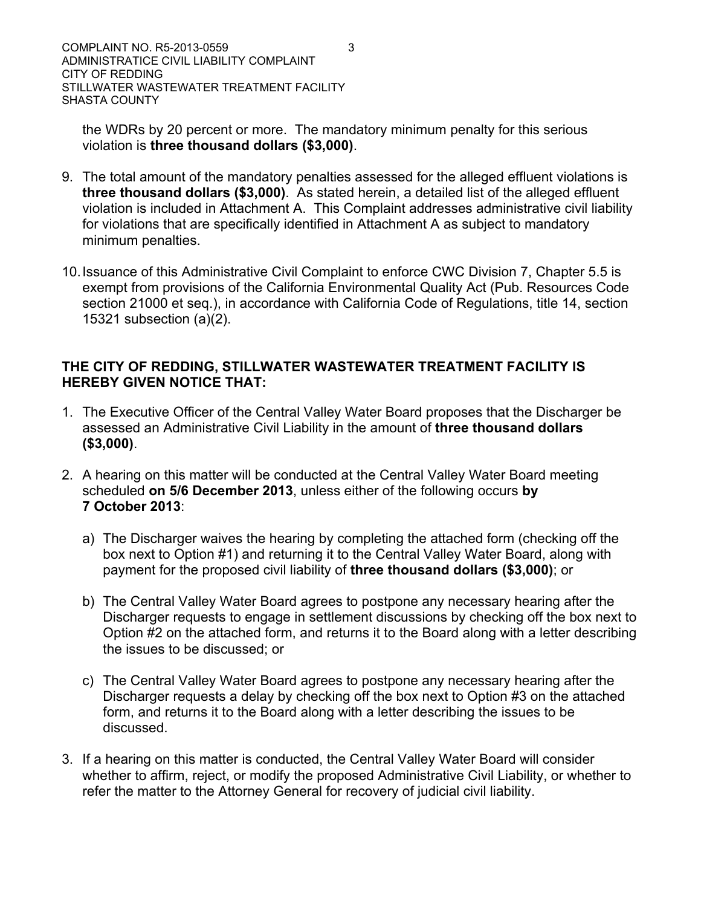the WDRs by 20 percent or more. The mandatory minimum penalty for this serious violation is **three thousand dollars (\$3,000)**.

- 9. The total amount of the mandatory penalties assessed for the alleged effluent violations is **three thousand dollars (\$3,000)**. As stated herein, a detailed list of the alleged effluent violation is included in Attachment A. This Complaint addresses administrative civil liability for violations that are specifically identified in Attachment A as subject to mandatory minimum penalties.
- 10. Issuance of this Administrative Civil Complaint to enforce CWC Division 7, Chapter 5.5 is exempt from provisions of the California Environmental Quality Act (Pub. Resources Code section 21000 et seq.), in accordance with California Code of Regulations, title 14, section 15321 subsection (a)(2).

# **THE CITY OF REDDING, STILLWATER WASTEWATER TREATMENT FACILITY IS HEREBY GIVEN NOTICE THAT:**

- 1. The Executive Officer of the Central Valley Water Board proposes that the Discharger be assessed an Administrative Civil Liability in the amount of **three thousand dollars (\$3,000)**.
- 2. A hearing on this matter will be conducted at the Central Valley Water Board meeting scheduled **on 5/6 December 2013**, unless either of the following occurs **by 7 October 2013**:
	- a) The Discharger waives the hearing by completing the attached form (checking off the box next to Option #1) and returning it to the Central Valley Water Board, along with payment for the proposed civil liability of **three thousand dollars (\$3,000)**; or
	- b) The Central Valley Water Board agrees to postpone any necessary hearing after the Discharger requests to engage in settlement discussions by checking off the box next to Option #2 on the attached form, and returns it to the Board along with a letter describing the issues to be discussed; or
	- c) The Central Valley Water Board agrees to postpone any necessary hearing after the Discharger requests a delay by checking off the box next to Option #3 on the attached form, and returns it to the Board along with a letter describing the issues to be discussed.
- 3. If a hearing on this matter is conducted, the Central Valley Water Board will consider whether to affirm, reject, or modify the proposed Administrative Civil Liability, or whether to refer the matter to the Attorney General for recovery of judicial civil liability.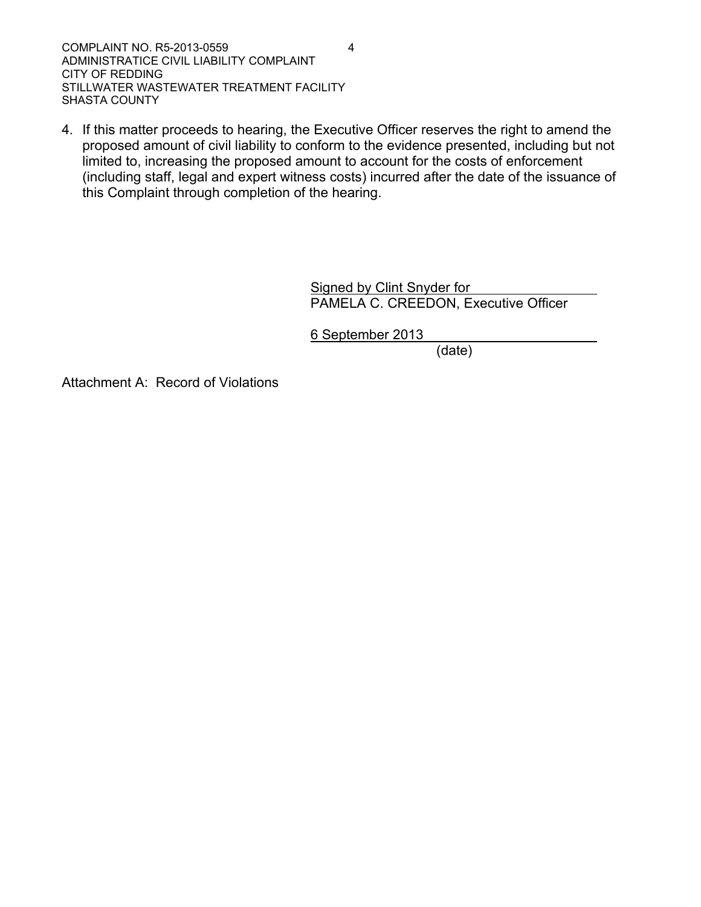COMPLAINT NO. R5-2013-0559 4 ADMINISTRATICE CIVIL LIABILITY COMPLAINT CITY OF REDDING STILLWATER WASTEWATER TREATMENT FACILITY SHASTA COUNTY

4. If this matter proceeds to hearing, the Executive Officer reserves the right to amend the proposed amount of civil liability to conform to the evidence presented, including but not limited to, increasing the proposed amount to account for the costs of enforcement (including staff, legal and expert witness costs) incurred after the date of the issuance of this Complaint through completion of the hearing.

> Signed by Clint Snyder for PAMELA C. CREEDON, Executive Officer

6 September 2013

(date)

Attachment A: Record of Violations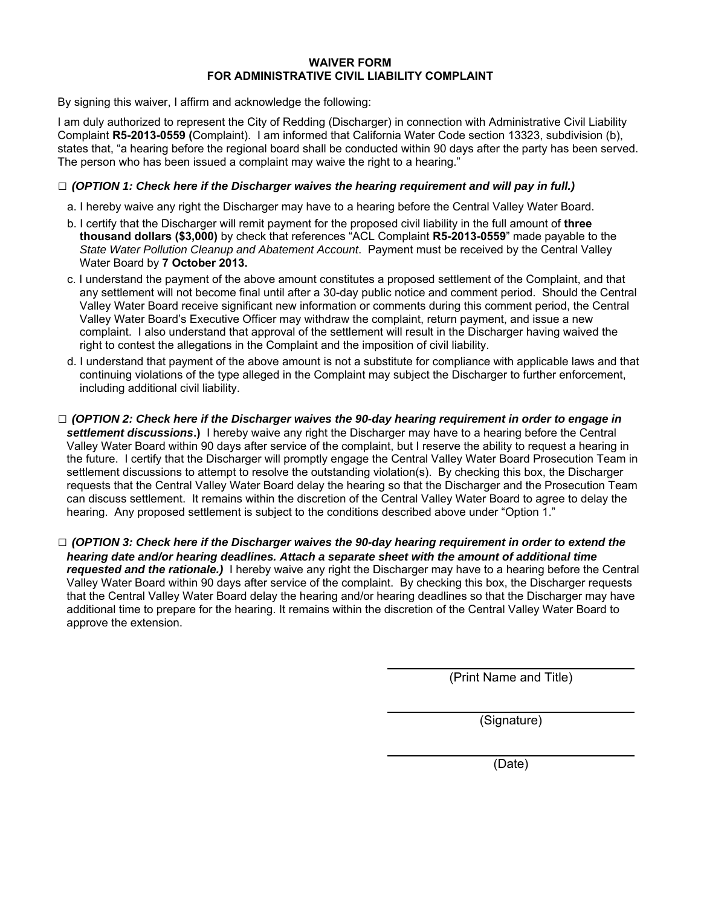#### **WAIVER FORM FOR ADMINISTRATIVE CIVIL LIABILITY COMPLAINT**

By signing this waiver, I affirm and acknowledge the following:

I am duly authorized to represent the City of Redding (Discharger) in connection with Administrative Civil Liability Complaint **R5-2013-0559 (**Complaint). I am informed that California Water Code section 13323, subdivision (b), states that, "a hearing before the regional board shall be conducted within 90 days after the party has been served. The person who has been issued a complaint may waive the right to a hearing."

#### **□** *(OPTION 1: Check here if the Discharger waives the hearing requirement and will pay in full.)*

- a. I hereby waive any right the Discharger may have to a hearing before the Central Valley Water Board.
- b. I certify that the Discharger will remit payment for the proposed civil liability in the full amount of **three thousand dollars (\$3,000)** by check that references "ACL Complaint **R5-2013-0559**" made payable to the *State Water Pollution Cleanup and Abatement Account*. Payment must be received by the Central Valley Water Board by **7 October 2013.**
- c. I understand the payment of the above amount constitutes a proposed settlement of the Complaint, and that any settlement will not become final until after a 30-day public notice and comment period. Should the Central Valley Water Board receive significant new information or comments during this comment period, the Central Valley Water Board's Executive Officer may withdraw the complaint, return payment, and issue a new complaint. I also understand that approval of the settlement will result in the Discharger having waived the right to contest the allegations in the Complaint and the imposition of civil liability.
- d. I understand that payment of the above amount is not a substitute for compliance with applicable laws and that continuing violations of the type alleged in the Complaint may subject the Discharger to further enforcement, including additional civil liability.
- **□** *(OPTION 2: Check here if the Discharger waives the 90-day hearing requirement in order to engage in settlement discussions***.)** I hereby waive any right the Discharger may have to a hearing before the Central Valley Water Board within 90 days after service of the complaint, but I reserve the ability to request a hearing in the future. I certify that the Discharger will promptly engage the Central Valley Water Board Prosecution Team in settlement discussions to attempt to resolve the outstanding violation(s). By checking this box, the Discharger requests that the Central Valley Water Board delay the hearing so that the Discharger and the Prosecution Team can discuss settlement. It remains within the discretion of the Central Valley Water Board to agree to delay the hearing. Any proposed settlement is subject to the conditions described above under "Option 1."
- **□** *(OPTION 3: Check here if the Discharger waives the 90-day hearing requirement in order to extend the hearing date and/or hearing deadlines. Attach a separate sheet with the amount of additional time requested and the rationale.)* I hereby waive any right the Discharger may have to a hearing before the Central Valley Water Board within 90 days after service of the complaint. By checking this box, the Discharger requests that the Central Valley Water Board delay the hearing and/or hearing deadlines so that the Discharger may have additional time to prepare for the hearing. It remains within the discretion of the Central Valley Water Board to approve the extension.

(Print Name and Title)

(Signature)

(Date)